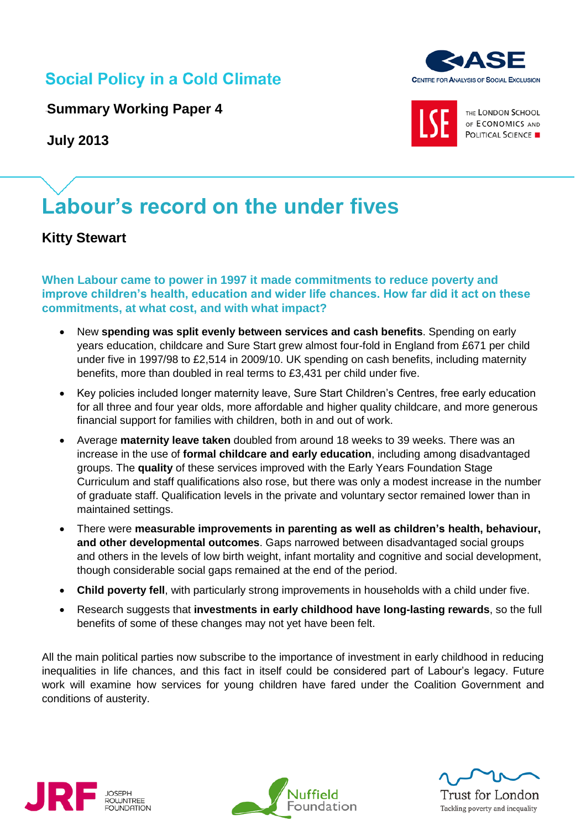## **Social Policy in a Cold Climate**

**Summary Working Paper 4**

**July 2013**

# **Labour's record on the under fives**

## **Kitty Stewart**

**When Labour came to power in 1997 it made commitments to reduce poverty and improve children's health, education and wider life chances. How far did it act on these commitments, at what cost, and with what impact?** 

- New **spending was split evenly between services and cash benefits**. Spending on early years education, childcare and Sure Start grew almost four-fold in England from £671 per child under five in 1997/98 to £2,514 in 2009/10. UK spending on cash benefits, including maternity benefits, more than doubled in real terms to £3,431 per child under five.
- Key policies included longer maternity leave, Sure Start Children's Centres, free early education for all three and four year olds, more affordable and higher quality childcare, and more generous financial support for families with children, both in and out of work.
- Average **maternity leave taken** doubled from around 18 weeks to 39 weeks. There was an increase in the use of **formal childcare and early education**, including among disadvantaged groups. The **quality** of these services improved with the Early Years Foundation Stage Curriculum and staff qualifications also rose, but there was only a modest increase in the number of graduate staff. Qualification levels in the private and voluntary sector remained lower than in maintained settings.
- There were **measurable improvements in parenting as well as children's health, behaviour, and other developmental outcomes**. Gaps narrowed between disadvantaged social groups and others in the levels of low birth weight, infant mortality and cognitive and social development, though considerable social gaps remained at the end of the period.
- **Child poverty fell**, with particularly strong improvements in households with a child under five.
- Research suggests that **investments in early childhood have long-lasting rewards**, so the full benefits of some of these changes may not yet have been felt.

All the main political parties now subscribe to the importance of investment in early childhood in reducing inequalities in life chances, and this fact in itself could be considered part of Labour's legacy. Future work will examine how services for young children have fared under the Coalition Government and conditions of austerity.









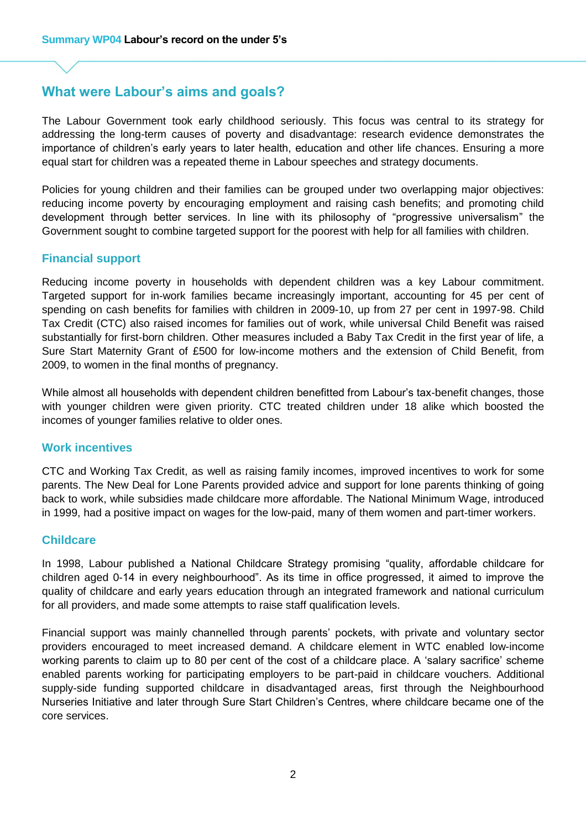## **What were Labour's aims and goals?**

The Labour Government took early childhood seriously. This focus was central to its strategy for addressing the long-term causes of poverty and disadvantage: research evidence demonstrates the importance of children's early years to later health, education and other life chances. Ensuring a more equal start for children was a repeated theme in Labour speeches and strategy documents.

Policies for young children and their families can be grouped under two overlapping major objectives: reducing income poverty by encouraging employment and raising cash benefits; and promoting child development through better services. In line with its philosophy of "progressive universalism" the Government sought to combine targeted support for the poorest with help for all families with children.

#### **Financial support**

Reducing income poverty in households with dependent children was a key Labour commitment. Targeted support for in-work families became increasingly important, accounting for 45 per cent of spending on cash benefits for families with children in 2009-10, up from 27 per cent in 1997-98. Child Tax Credit (CTC) also raised incomes for families out of work, while universal Child Benefit was raised substantially for first-born children. Other measures included a Baby Tax Credit in the first year of life, a Sure Start Maternity Grant of £500 for low-income mothers and the extension of Child Benefit, from 2009, to women in the final months of pregnancy.

While almost all households with dependent children benefitted from Labour's tax-benefit changes, those with younger children were given priority. CTC treated children under 18 alike which boosted the incomes of younger families relative to older ones.

#### **Work incentives**

CTC and Working Tax Credit, as well as raising family incomes, improved incentives to work for some parents. The New Deal for Lone Parents provided advice and support for lone parents thinking of going back to work, while subsidies made childcare more affordable. The National Minimum Wage, introduced in 1999, had a positive impact on wages for the low-paid, many of them women and part-timer workers.

#### **Childcare**

In 1998, Labour published a National Childcare Strategy promising "quality, affordable childcare for children aged 0-14 in every neighbourhood". As its time in office progressed, it aimed to improve the quality of childcare and early years education through an integrated framework and national curriculum for all providers, and made some attempts to raise staff qualification levels.

Financial support was mainly channelled through parents' pockets, with private and voluntary sector providers encouraged to meet increased demand. A childcare element in WTC enabled low-income working parents to claim up to 80 per cent of the cost of a childcare place. A 'salary sacrifice' scheme enabled parents working for participating employers to be part-paid in childcare vouchers. Additional supply-side funding supported childcare in disadvantaged areas, first through the Neighbourhood Nurseries Initiative and later through Sure Start Children's Centres, where childcare became one of the core services.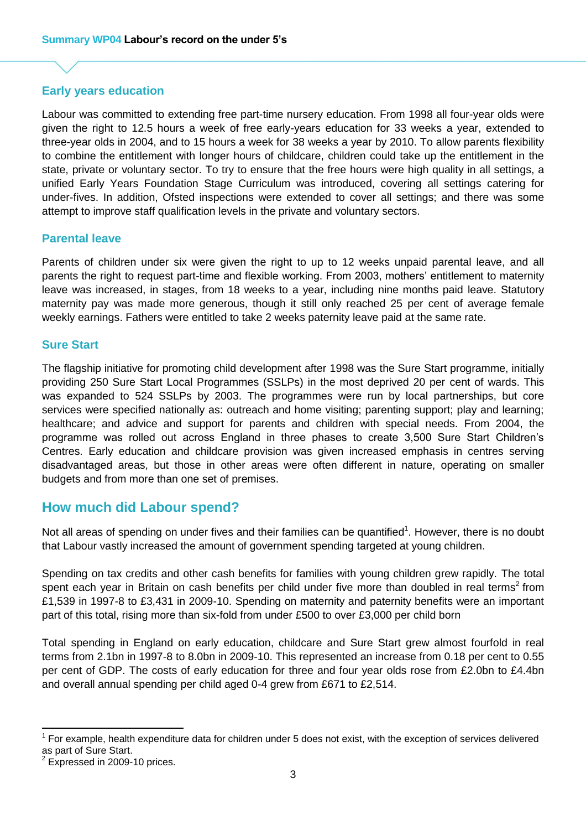#### **Early years education**

Labour was committed to extending free part-time nursery education. From 1998 all four-year olds were given the right to 12.5 hours a week of free early-years education for 33 weeks a year, extended to three-year olds in 2004, and to 15 hours a week for 38 weeks a year by 2010. To allow parents flexibility to combine the entitlement with longer hours of childcare, children could take up the entitlement in the state, private or voluntary sector. To try to ensure that the free hours were high quality in all settings, a unified Early Years Foundation Stage Curriculum was introduced, covering all settings catering for under-fives. In addition, Ofsted inspections were extended to cover all settings; and there was some attempt to improve staff qualification levels in the private and voluntary sectors.

#### **Parental leave**

Parents of children under six were given the right to up to 12 weeks unpaid parental leave, and all parents the right to request part-time and flexible working. From 2003, mothers' entitlement to maternity leave was increased, in stages, from 18 weeks to a year, including nine months paid leave. Statutory maternity pay was made more generous, though it still only reached 25 per cent of average female weekly earnings. Fathers were entitled to take 2 weeks paternity leave paid at the same rate.

#### **Sure Start**

The flagship initiative for promoting child development after 1998 was the Sure Start programme, initially providing 250 Sure Start Local Programmes (SSLPs) in the most deprived 20 per cent of wards. This was expanded to 524 SSLPs by 2003. The programmes were run by local partnerships, but core services were specified nationally as: outreach and home visiting; parenting support; play and learning; healthcare; and advice and support for parents and children with special needs. From 2004, the programme was rolled out across England in three phases to create 3,500 Sure Start Children's Centres. Early education and childcare provision was given increased emphasis in centres serving disadvantaged areas, but those in other areas were often different in nature, operating on smaller budgets and from more than one set of premises.

#### **How much did Labour spend?**

Not all areas of spending on under fives and their families can be quantified<sup>1</sup>. However, there is no doubt that Labour vastly increased the amount of government spending targeted at young children.

Spending on tax credits and other cash benefits for families with young children grew rapidly. The total spent each year in Britain on cash benefits per child under five more than doubled in real terms<sup>2</sup> from £1,539 in 1997-8 to £3,431 in 2009-10. Spending on maternity and paternity benefits were an important part of this total, rising more than six-fold from under £500 to over £3,000 per child born

Total spending in England on early education, childcare and Sure Start grew almost fourfold in real terms from 2.1bn in 1997-8 to 8.0bn in 2009-10. This represented an increase from 0.18 per cent to 0.55 per cent of GDP. The costs of early education for three and four year olds rose from £2.0bn to £4.4bn and overall annual spending per child aged 0-4 grew from £671 to £2,514.

 $\overline{a}$ 

<sup>1</sup> For example, health expenditure data for children under 5 does not exist, with the exception of services delivered as part of Sure Start.

 $2$  Expressed in 2009-10 prices.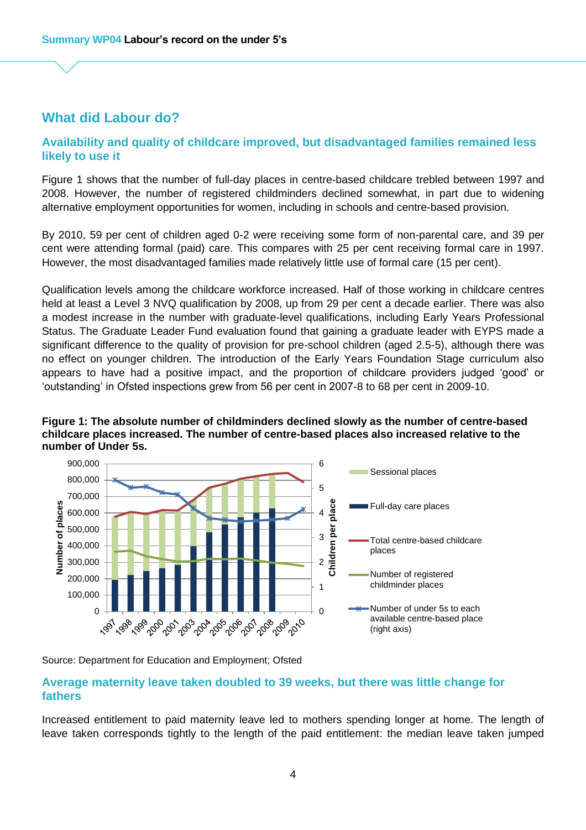## **What did Labour do?**

#### **Availability and quality of childcare improved, but disadvantaged families remained less likely to use it**

Figure 1 shows that the number of full-day places in centre-based childcare trebled between 1997 and 2008. However, the number of registered childminders declined somewhat, in part due to widening alternative employment opportunities for women, including in schools and centre-based provision.

By 2010, 59 per cent of children aged 0-2 were receiving some form of non-parental care, and 39 per cent were attending formal (paid) care. This compares with 25 per cent receiving formal care in 1997. However, the most disadvantaged families made relatively little use of formal care (15 per cent).

Qualification levels among the childcare workforce increased. Half of those working in childcare centres held at least a Level 3 NVQ qualification by 2008, up from 29 per cent a decade earlier. There was also a modest increase in the number with graduate-level qualifications, including Early Years Professional Status. The Graduate Leader Fund evaluation found that gaining a graduate leader with EYPS made a significant difference to the quality of provision for pre-school children (aged 2.5-5), although there was no effect on younger children. The introduction of the Early Years Foundation Stage curriculum also appears to have had a positive impact, and the proportion of childcare providers judged 'good' or 'outstanding' in Ofsted inspections grew from 56 per cent in 2007-8 to 68 per cent in 2009-10.

#### **Figure 1: [The absolute number of childminders declined slowly as the number of centre-based](www.casedata.org.uk/early/sum/fig/1)  childcare places increased. The number of centre-based places also increased relative to the number of Under 5s.**



Source: Department for Education and Employment; Ofsted

#### **Average maternity leave taken doubled to 39 weeks, but there was little change for fathers**

Increased entitlement to paid maternity leave led to mothers spending longer at home. The length of leave taken corresponds tightly to the length of the paid entitlement: the median leave taken jumped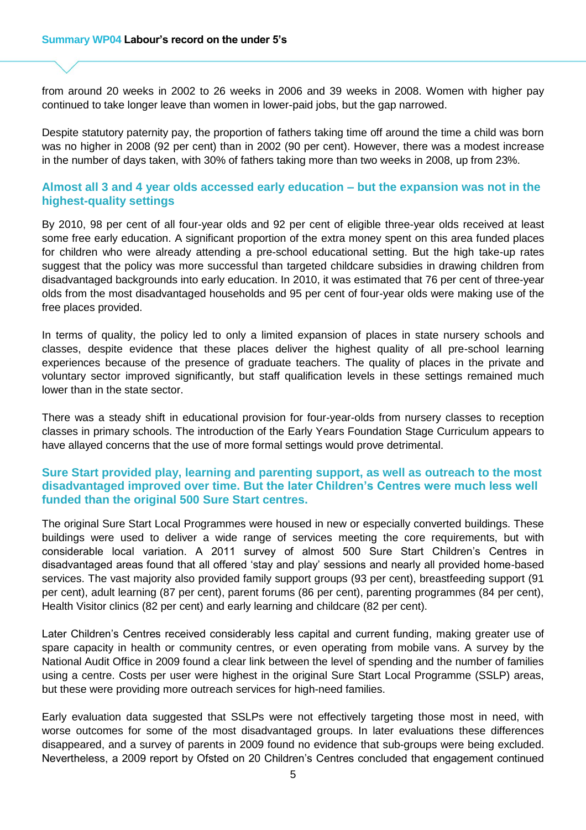from around 20 weeks in 2002 to 26 weeks in 2006 and 39 weeks in 2008. Women with higher pay continued to take longer leave than women in lower-paid jobs, but the gap narrowed.

Despite statutory paternity pay, the proportion of fathers taking time off around the time a child was born was no higher in 2008 (92 per cent) than in 2002 (90 per cent). However, there was a modest increase in the number of days taken, with 30% of fathers taking more than two weeks in 2008, up from 23%.

#### **Almost all 3 and 4 year olds accessed early education – but the expansion was not in the highest-quality settings**

By 2010, 98 per cent of all four-year olds and 92 per cent of eligible three-year olds received at least some free early education. A significant proportion of the extra money spent on this area funded places for children who were already attending a pre-school educational setting. But the high take-up rates suggest that the policy was more successful than targeted childcare subsidies in drawing children from disadvantaged backgrounds into early education. In 2010, it was estimated that 76 per cent of three-year olds from the most disadvantaged households and 95 per cent of four-year olds were making use of the free places provided.

In terms of quality, the policy led to only a limited expansion of places in state nursery schools and classes, despite evidence that these places deliver the highest quality of all pre-school learning experiences because of the presence of graduate teachers. The quality of places in the private and voluntary sector improved significantly, but staff qualification levels in these settings remained much lower than in the state sector.

There was a steady shift in educational provision for four-year-olds from nursery classes to reception classes in primary schools. The introduction of the Early Years Foundation Stage Curriculum appears to have allayed concerns that the use of more formal settings would prove detrimental.

#### **Sure Start provided play, learning and parenting support, as well as outreach to the most disadvantaged improved over time. But the later Children's Centres were much less well funded than the original 500 Sure Start centres.**

The original Sure Start Local Programmes were housed in new or especially converted buildings. These buildings were used to deliver a wide range of services meeting the core requirements, but with considerable local variation. A 2011 survey of almost 500 Sure Start Children's Centres in disadvantaged areas found that all offered 'stay and play' sessions and nearly all provided home-based services. The vast majority also provided family support groups (93 per cent), breastfeeding support (91 per cent), adult learning (87 per cent), parent forums (86 per cent), parenting programmes (84 per cent), Health Visitor clinics (82 per cent) and early learning and childcare (82 per cent).

Later Children's Centres received considerably less capital and current funding, making greater use of spare capacity in health or community centres, or even operating from mobile vans. A survey by the National Audit Office in 2009 found a clear link between the level of spending and the number of families using a centre. Costs per user were highest in the original Sure Start Local Programme (SSLP) areas, but these were providing more outreach services for high-need families.

Early evaluation data suggested that SSLPs were not effectively targeting those most in need, with worse outcomes for some of the most disadvantaged groups. In later evaluations these differences disappeared, and a survey of parents in 2009 found no evidence that sub-groups were being excluded. Nevertheless, a 2009 report by Ofsted on 20 Children's Centres concluded that engagement continued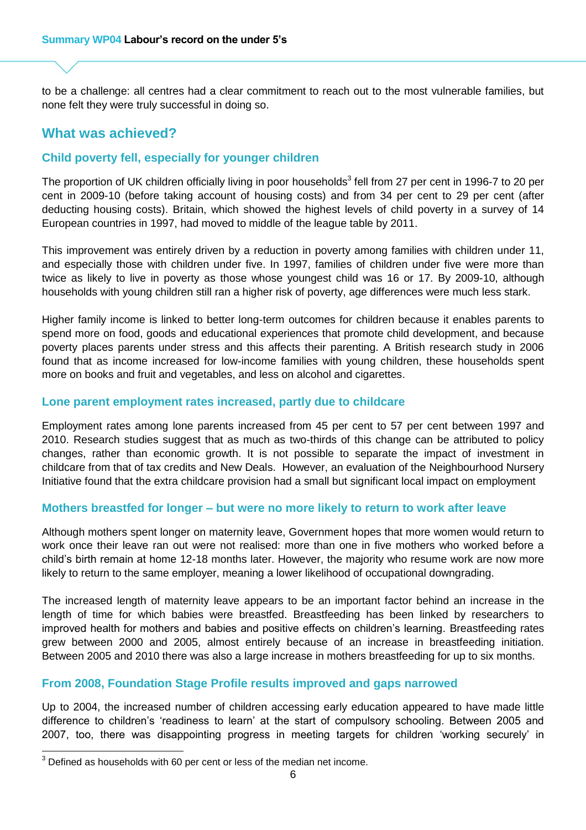to be a challenge: all centres had a clear commitment to reach out to the most vulnerable families, but none felt they were truly successful in doing so.

## **What was achieved?**

#### **Child poverty fell, especially for younger children**

The proportion of UK children officially living in poor households<sup>3</sup> fell from 27 per cent in 1996-7 to 20 per cent in 2009-10 (before taking account of housing costs) and from 34 per cent to 29 per cent (after deducting housing costs). Britain, which showed the highest levels of child poverty in a survey of 14 European countries in 1997, had moved to middle of the league table by 2011.

This improvement was entirely driven by a reduction in poverty among families with children under 11, and especially those with children under five. In 1997, families of children under five were more than twice as likely to live in poverty as those whose youngest child was 16 or 17. By 2009-10, although households with young children still ran a higher risk of poverty, age differences were much less stark.

Higher family income is linked to better long-term outcomes for children because it enables parents to spend more on food, goods and educational experiences that promote child development, and because poverty places parents under stress and this affects their parenting. A British research study in 2006 found that as income increased for low-income families with young children, these households spent more on books and fruit and vegetables, and less on alcohol and cigarettes.

#### **Lone parent employment rates increased, partly due to childcare**

Employment rates among lone parents increased from 45 per cent to 57 per cent between 1997 and 2010. Research studies suggest that as much as two-thirds of this change can be attributed to policy changes, rather than economic growth. It is not possible to separate the impact of investment in childcare from that of tax credits and New Deals. However, an evaluation of the Neighbourhood Nursery Initiative found that the extra childcare provision had a small but significant local impact on employment

#### **Mothers breastfed for longer – but were no more likely to return to work after leave**

Although mothers spent longer on maternity leave, Government hopes that more women would return to work once their leave ran out were not realised: more than one in five mothers who worked before a child's birth remain at home 12-18 months later. However, the majority who resume work are now more likely to return to the same employer, meaning a lower likelihood of occupational downgrading.

The increased length of maternity leave appears to be an important factor behind an increase in the length of time for which babies were breastfed. Breastfeeding has been linked by researchers to improved health for mothers and babies and positive effects on children's learning. Breastfeeding rates grew between 2000 and 2005, almost entirely because of an increase in breastfeeding initiation. Between 2005 and 2010 there was also a large increase in mothers breastfeeding for up to six months.

#### **From 2008, Foundation Stage Profile results improved and gaps narrowed**

Up to 2004, the increased number of children accessing early education appeared to have made little difference to children's 'readiness to learn' at the start of compulsory schooling. Between 2005 and 2007, too, there was disappointing progress in meeting targets for children 'working securely' in

 $\overline{\phantom{a}}$ 

 $3$  Defined as households with 60 per cent or less of the median net income.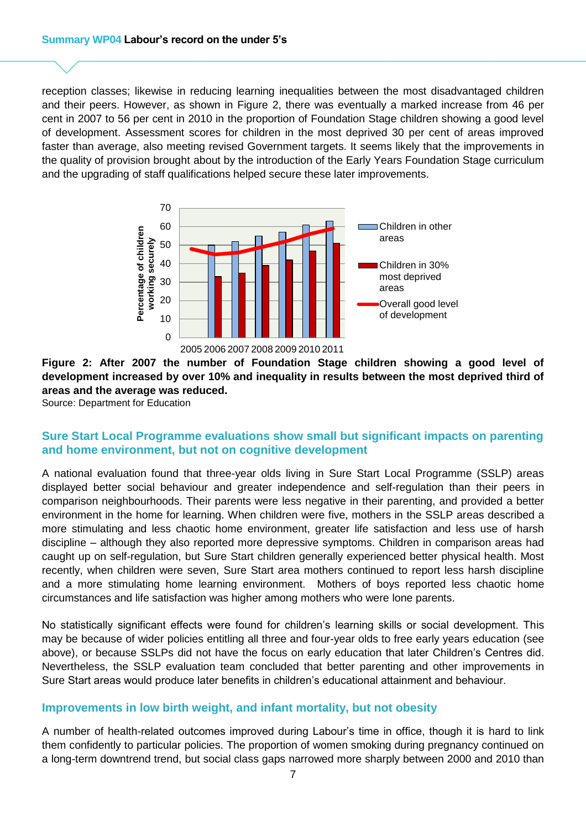reception classes; likewise in reducing learning inequalities between the most disadvantaged children and their peers. However, as shown in Figure 2, there was eventually a marked increase from 46 per cent in 2007 to 56 per cent in 2010 in the proportion of Foundation Stage children showing a good level of development. Assessment scores for children in the most deprived 30 per cent of areas improved faster than average, also meeting revised Government targets. It seems likely that the improvements in the quality of provision brought about by the introduction of the Early Years Foundation Stage curriculum and the upgrading of staff qualifications helped secure these later improvements.



#### **Figure 2: After 2007 the number of Foundation Stage children showing a good level of [development increased by over 10% and inequality in results between the most deprived third of](www.casedata.org.uk/early/sum/fig/2)  areas and the average was reduced.**

Source: Department for Education

#### **Sure Start Local Programme evaluations show small but significant impacts on parenting and home environment, but not on cognitive development**

A national evaluation found that three-year olds living in Sure Start Local Programme (SSLP) areas displayed better social behaviour and greater independence and self-regulation than their peers in comparison neighbourhoods. Their parents were less negative in their parenting, and provided a better environment in the home for learning. When children were five, mothers in the SSLP areas described a more stimulating and less chaotic home environment, greater life satisfaction and less use of harsh discipline – although they also reported more depressive symptoms. Children in comparison areas had caught up on self-regulation, but Sure Start children generally experienced better physical health. Most recently, when children were seven, Sure Start area mothers continued to report less harsh discipline and a more stimulating home learning environment. Mothers of boys reported less chaotic home circumstances and life satisfaction was higher among mothers who were lone parents.

No statistically significant effects were found for children's learning skills or social development. This may be because of wider policies entitling all three and four-year olds to free early years education (see above), or because SSLPs did not have the focus on early education that later Children's Centres did. Nevertheless, the SSLP evaluation team concluded that better parenting and other improvements in Sure Start areas would produce later benefits in children's educational attainment and behaviour.

#### **Improvements in low birth weight, and infant mortality, but not obesity**

A number of health-related outcomes improved during Labour's time in office, though it is hard to link them confidently to particular policies. The proportion of women smoking during pregnancy continued on a long-term downtrend trend, but social class gaps narrowed more sharply between 2000 and 2010 than